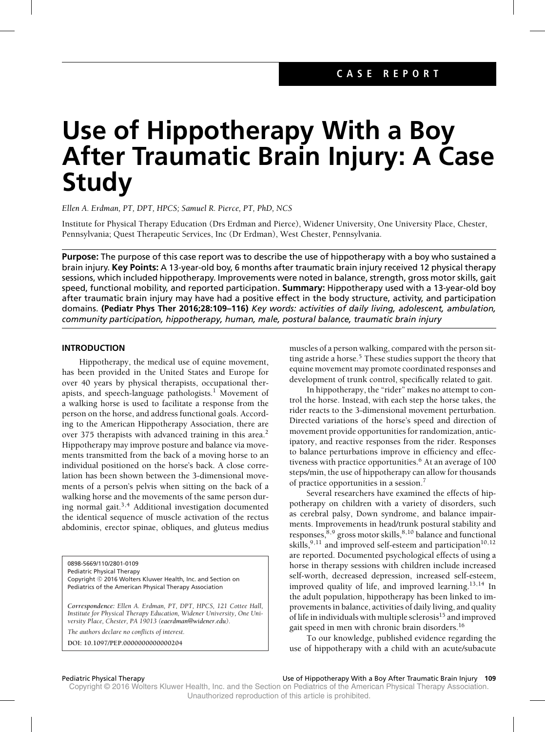# **Use of Hippotherapy With a Boy After Traumatic Brain Injury: A Case Study**

*Ellen A. Erdman, PT, DPT, HPCS; Samuel R. Pierce, PT, PhD, NCS*

Institute for Physical Therapy Education (Drs Erdman and Pierce), Widener University, One University Place, Chester, Pennsylvania; Quest Therapeutic Services, Inc (Dr Erdman), West Chester, Pennsylvania.

**Purpose:** The purpose of this case report was to describe the use of hippotherapy with a boy who sustained a brain injury. **Key Points:** A 13-year-old boy, 6 months after traumatic brain injury received 12 physical therapy sessions, which included hippotherapy. Improvements were noted in balance, strength, gross motor skills, gait speed, functional mobility, and reported participation. **Summary:** Hippotherapy used with a 13-year-old boy after traumatic brain injury may have had a positive effect in the body structure, activity, and participation domains. **(Pediatr Phys Ther 2016;28:109–116)** *Key words: activities of daily living, adolescent, ambulation, community participation, hippotherapy, human, male, postural balance, traumatic brain injury*

### **INTRODUCTION**

Hippotherapy, the medical use of equine movement, has been provided in the United States and Europe for over 40 years by physical therapists, occupational therapists, and speech-language pathologists.<sup>1</sup> Movement of a walking horse is used to facilitate a response from the person on the horse, and address functional goals. According to the American Hippotherapy Association, there are over 375 therapists with advanced training in this area.<sup>2</sup> Hippotherapy may improve posture and balance via movements transmitted from the back of a moving horse to an individual positioned on the horse's back. A close correlation has been shown between the 3-dimensional movements of a person's pelvis when sitting on the back of a walking horse and the movements of the same person during normal gait. $3,4$  Additional investigation documented the identical sequence of muscle activation of the rectus abdominis, erector spinae, obliques, and gluteus medius

0898-5669/110/2801-0109

Pediatric Physical Therapy

Copyright © 2016 Wolters Kluwer Health, Inc. and Section on Pediatrics of the American Physical Therapy Association

*Correspondence: Ellen A. Erdman, PT, DPT, HPCS, 121 Cottee Hall, Institute for Physical Therapy Education, Widener University, One University Place, Chester, PA 19013 [\(eaerdman@widener.edu\)](mailto:eaerdman@widener.edu).*

*The authors declare no conflicts of interest.*

**DOI: 10.1097/PEP.0000000000000204**

muscles of a person walking, compared with the person sitting astride a horse.<sup>5</sup> These studies support the theory that equine movement may promote coordinated responses and development of trunk control, specifically related to gait.

In hippotherapy, the "rider" makes no attempt to control the horse. Instead, with each step the horse takes, the rider reacts to the 3-dimensional movement perturbation. Directed variations of the horse's speed and direction of movement provide opportunities for randomization, anticipatory, and reactive responses from the rider. Responses to balance perturbations improve in efficiency and effectiveness with practice opportunities.<sup>6</sup> At an average of  $100$ steps/min, the use of hippotherapy can allow for thousands of practice opportunities in a session.<sup>7</sup>

Several researchers have examined the effects of hippotherapy on children with a variety of disorders, such as cerebral palsy, Down syndrome, and balance impairments. Improvements in head/trunk postural stability and responses,  $8,9$  gross motor skills,  $8,10$  balance and functional skills,  $9,11$  and improved self-esteem and participation<sup>10,12</sup> are reported. Documented psychological effects of using a horse in therapy sessions with children include increased self-worth, decreased depression, increased self-esteem, improved quality of life, and improved learning.<sup>13,14</sup> In the adult population, hippotherapy has been linked to improvements in balance, activities of daily living, and quality of life in individuals with multiple sclerosis<sup>15</sup> and improved gait speed in men with chronic brain disorders.<sup>16</sup>

To our knowledge, published evidence regarding the use of hippotherapy with a child with an acute/subacute

Pediatric Physical Therapy Use of Hippotherapy With a Boy After Traumatic Brain Injury **109**

Copyright © 2016 Wolters Kluwer Health, Inc. and the Section on Pediatrics of the American Physical Therapy Association. Unauthorized reproduction of this article is prohibited.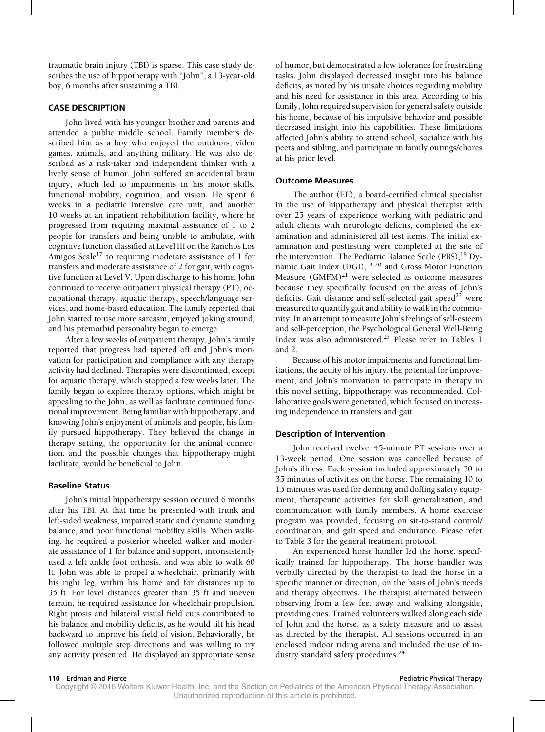traumatic brain injury (TBI) is sparse. This case study describes the use of hippotherapy with "John", a 13-year-old boy, 6 months after sustaining a TBI.

### **CASE DESCRIPTION**

John lived with his younger brother and parents and attended a public middle school. Family members described him as a boy who enjoyed the outdoors, video games, animals, and anything military. He was also described as a risk-taker and independent thinker with a lively sense of humor. John suffered an accidental brain injury, which led to impairments in his motor skills, functional mobility, cognition, and vision. He spent 6 weeks in a pediatric intensive care unit, and another 10 weeks at an inpatient rehabilitation facility, where he progressed from requiring maximal assistance of 1 to 2 people for transfers and being unable to ambulate, with cognitive function classified at Level III on the Ranchos Los Amigos Scale<sup>17</sup> to requiring moderate assistance of 1 for transfers and moderate assistance of 2 for gait, with cognitive function at Level V. Upon discharge to his home, John continued to receive outpatient physical therapy (PT), occupational therapy, aquatic therapy, speech/language services, and home-based education. The family reported that John started to use more sarcasm, enjoyed joking around, and his premorbid personality began to emerge.

After a few weeks of outpatient therapy, John's family reported that progress had tapered off and John's motivation for participation and compliance with any therapy activity had declined. Therapies were discontinued, except for aquatic therapy, which stopped a few weeks later. The family began to explore therapy options, which might be appealing to the John, as well as facilitate continued functional improvement. Being familiar with hippotherapy, and knowing John's enjoyment of animals and people, his family pursued hippotherapy. They believed the change in therapy setting, the opportunity for the animal connection, and the possible changes that hippotherapy might facilitate, would be beneficial to John.

### **Baseline Status**

John's initial hippotherapy session occured 6 months after his TBI. At that time he presented with trunk and left-sided weakness, impaired static and dynamic standing balance, and poor functional mobility skills. When walking, he required a posterior wheeled walker and moderate assistance of 1 for balance and support, inconsistently used a left ankle foot orthosis, and was able to walk 60 ft. John was able to propel a wheelchair, primarily with his right leg, within his home and for distances up to 35 ft. For level distances greater than 35 ft and uneven terrain, he required assistance for wheelchair propulsion. Right ptosis and bilateral visual field cuts contributed to his balance and mobility deficits, as he would tilt his head backward to improve his field of vision. Behaviorally, he followed multiple step directions and was willing to try any activity presented. He displayed an appropriate sense of humor, but demonstrated a low tolerance for frustrating tasks. John displayed decreased insight into his balance deficits, as noted by his unsafe choices regarding mobility and his need for assistance in this area. According to his family, John required supervision for general safety outside his home, because of his impulsive behavior and possible decreased insight into his capabilities. These limitations affected John's ability to attend school, socialize with his peers and sibling, and participate in family outings/chores at his prior level.

### **Outcome Measures**

The author (EE), a board-certified clinical specialist in the use of hippotherapy and physical therapist with over 25 years of experience working with pediatric and adult clients with neurologic deficits, completed the examination and administered all test items. The initial examination and posttesting were completed at the site of the intervention. The Pediatric Balance Scale (PBS),<sup>18</sup> Dynamic Gait Index (DGI),19,20 and Gross Motor Function Measure  $(GMFM)^{21}$  were selected as outcome measures because they specifically focused on the areas of John's deficits. Gait distance and self-selected gait speed<sup>22</sup> were measured to quantify gait and ability to walk in the community. In an attempt to measure John's feelings of self-esteem and self-perception, the Psychological General Well-Being Index was also administered.<sup>23</sup> Please refer to Tables 1 and 2.

Because of his motor impairments and functional limitations, the acuity of his injury, the potential for improvement, and John's motivation to participate in therapy in this novel setting, hippotherapy was recommended. Collaborative goals were generated, which focused on increasing independence in transfers and gait.

### **Description of Intervention**

John received twelve, 45-minute PT sessions over a 13-week period. One session was cancelled because of John's illness. Each session included approximately 30 to 35 minutes of activities on the horse. The remaining 10 to 15 minutes was used for donning and doffing safety equipment, therapeutic activities for skill generalization, and communication with family members. A home exercise program was provided, focusing on sit-to-stand control/ coordination, and gait speed and endurance. Please refer to Table 3 for the general treatment protocol.

An experienced horse handler led the horse, specifically trained for hippotherapy. The horse handler was verbally directed by the therapist to lead the horse in a specific manner or direction, on the basis of John's needs and therapy objectives. The therapist alternated between observing from a few feet away and walking alongside, providing cues. Trained volunteers walked along each side of John and the horse, as a safety measure and to assist as directed by the therapist. All sessions occurred in an enclosed indoor riding arena and included the use of industry standard safety procedures.<sup>24</sup>

Copyright © 2016 Wolters Kluwer Health, Inc. and the Section on Pediatrics of the American Physical Therapy Association. Unauthorized reproduction of this article is prohibited.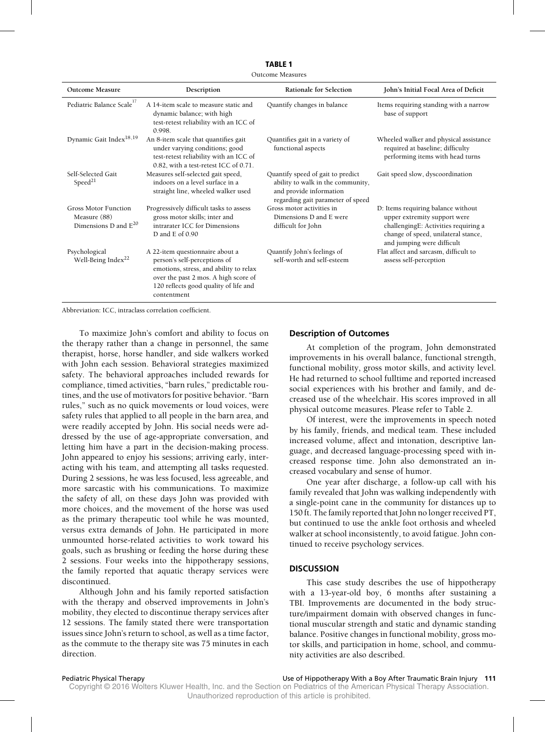**TABLE 1** Outcome Measures

| <b>Outcome Measure</b>                                                   | Description                                                                                                                                                                                               | Rationale for Selection                                                                                                                | John's Initial Focal Area of Deficit                                                                                                                                            |
|--------------------------------------------------------------------------|-----------------------------------------------------------------------------------------------------------------------------------------------------------------------------------------------------------|----------------------------------------------------------------------------------------------------------------------------------------|---------------------------------------------------------------------------------------------------------------------------------------------------------------------------------|
| Pediatric Balance Scale <sup>17</sup>                                    | A 14-item scale to measure static and<br>dynamic balance; with high<br>test-retest reliability with an ICC of<br>0.998.                                                                                   | Quantify changes in balance                                                                                                            | Items requiring standing with a narrow<br>base of support                                                                                                                       |
| Dynamic Gait Index <sup>18,19</sup>                                      | An 8-item scale that quantifies gait<br>under varying conditions; good<br>test-retest reliability with an ICC of<br>0.82, with a test-retest ICC of 0.71.                                                 | Quantifies gait in a variety of<br>functional aspects                                                                                  | Wheeled walker and physical assistance<br>required at baseline; difficulty<br>performing items with head turns                                                                  |
| Self-Selected Gait<br>Speed <sup>21</sup>                                | Measures self-selected gait speed,<br>indoors on a level surface in a<br>straight line, wheeled walker used                                                                                               | Quantify speed of gait to predict<br>ability to walk in the community,<br>and provide information<br>regarding gait parameter of speed | Gait speed slow, dyscoordination                                                                                                                                                |
| <b>Gross Motor Function</b><br>Measure (88)<br>Dimensions D and $E^{20}$ | Progressively difficult tasks to assess<br>gross motor skills; inter and<br>intrarater ICC for Dimensions<br>D and $E$ of 0.90                                                                            | Gross motor activities in<br>Dimensions D and E were<br>difficult for John                                                             | D: Items requiring balance without<br>upper extremity support were<br>challengingE: Activities requiring a<br>change of speed, unilateral stance,<br>and jumping were difficult |
| Psychological<br>Well-Being Index <sup>22</sup>                          | A 22-item questionnaire about a<br>person's self-perceptions of<br>emotions, stress, and ability to relax<br>over the past 2 mos. A high score of<br>120 reflects good quality of life and<br>contentment | Quantify John's feelings of<br>self-worth and self-esteem                                                                              | Flat affect and sarcasm, difficult to<br>assess self-perception                                                                                                                 |

Abbreviation: ICC, intraclass correlation coefficient.

To maximize John's comfort and ability to focus on the therapy rather than a change in personnel, the same therapist, horse, horse handler, and side walkers worked with John each session. Behavioral strategies maximized safety. The behavioral approaches included rewards for compliance, timed activities, "barn rules," predictable routines, and the use of motivators for positive behavior. "Barn rules," such as no quick movements or loud voices, were safety rules that applied to all people in the barn area, and were readily accepted by John. His social needs were addressed by the use of age-appropriate conversation, and letting him have a part in the decision-making process. John appeared to enjoy his sessions; arriving early, interacting with his team, and attempting all tasks requested. During 2 sessions, he was less focused, less agreeable, and more sarcastic with his communications. To maximize the safety of all, on these days John was provided with more choices, and the movement of the horse was used as the primary therapeutic tool while he was mounted, versus extra demands of John. He participated in more unmounted horse-related activities to work toward his goals, such as brushing or feeding the horse during these 2 sessions. Four weeks into the hippotherapy sessions, the family reported that aquatic therapy services were discontinued.

Although John and his family reported satisfaction with the therapy and observed improvements in John's mobility, they elected to discontinue therapy services after 12 sessions. The family stated there were transportation issues since John's return to school, as well as a time factor, as the commute to the therapy site was 75 minutes in each direction.

### **Description of Outcomes**

At completion of the program, John demonstrated improvements in his overall balance, functional strength, functional mobility, gross motor skills, and activity level. He had returned to school fulltime and reported increased social experiences with his brother and family, and decreased use of the wheelchair. His scores improved in all physical outcome measures. Please refer to Table 2.

Of interest, were the improvements in speech noted by his family, friends, and medical team. These included increased volume, affect and intonation, descriptive language, and decreased language-processing speed with increased response time. John also demonstrated an increased vocabulary and sense of humor.

One year after discharge, a follow-up call with his family revealed that John was walking independently with a single-point cane in the community for distances up to 150 ft. The family reported that John no longer received PT, but continued to use the ankle foot orthosis and wheeled walker at school inconsistently, to avoid fatigue. John continued to receive psychology services.

### **DISCUSSION**

This case study describes the use of hippotherapy with a 13-year-old boy, 6 months after sustaining a TBI. Improvements are documented in the body structure/impairment domain with observed changes in functional muscular strength and static and dynamic standing balance. Positive changes in functional mobility, gross motor skills, and participation in home, school, and community activities are also described.

Pediatric Physical Therapy Use of Hippotherapy With a Boy After Traumatic Brain Injury **111**

Copyright © 2016 Wolters Kluwer Health, Inc. and the Section on Pediatrics of the American Physical Therapy Association.

Unauthorized reproduction of this article is prohibited.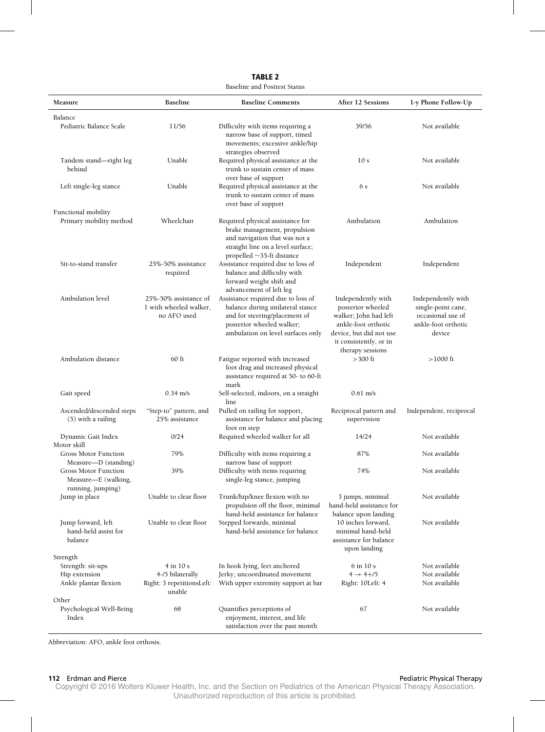| <b>Baseline and Posttest Status</b>                                              |                                                                        |                                                                                                                                                                           |                                                                                                                                                                  |                                                                                                |  |
|----------------------------------------------------------------------------------|------------------------------------------------------------------------|---------------------------------------------------------------------------------------------------------------------------------------------------------------------------|------------------------------------------------------------------------------------------------------------------------------------------------------------------|------------------------------------------------------------------------------------------------|--|
| Measure                                                                          | <b>Baseline</b>                                                        | <b>Baseline Comments</b>                                                                                                                                                  | After 12 Sessions                                                                                                                                                | 1-y Phone Follow-Up                                                                            |  |
| Balance<br>Pediatric Balance Scale                                               | 11/56                                                                  | Difficulty with items requiring a<br>narrow base of support, timed<br>movements; excessive ankle/hip                                                                      | 39/56                                                                                                                                                            | Not available                                                                                  |  |
| Tandem stand-right leg<br>behind                                                 | Unable                                                                 | strategies observed<br>Required physical assistance at the<br>trunk to sustain center of mass<br>over base of support                                                     | 10 <sub>s</sub>                                                                                                                                                  | Not available                                                                                  |  |
| Left single-leg stance                                                           | Unable                                                                 | Required physical assistance at the<br>trunk to sustain center of mass<br>over base of support                                                                            | 6 s                                                                                                                                                              | Not available                                                                                  |  |
| Functional mobility<br>Primary mobility method                                   | Wheelchair                                                             | Required physical assistance for<br>brake management, propulsion<br>and navigation that was not a<br>straight line on a level surface;<br>propelled $\sim$ 35-ft distance | Ambulation                                                                                                                                                       | Ambulation                                                                                     |  |
| Sit-to-stand transfer                                                            | 25%-50% assistance<br>required                                         | Assistance required due to loss of<br>balance and difficulty with<br>forward weight shift and<br>advancement of left leg                                                  | Independent                                                                                                                                                      | Independent                                                                                    |  |
| Ambulation level                                                                 | 25%-50% assistance of<br>1 with wheeled walker,<br>no AFO used         | Assistance required due to loss of<br>balance during unilateral stance<br>and for steering/placement of<br>posterior wheeled walker;<br>ambulation on level surfaces only | Independently with<br>posterior wheeled<br>walker; John had left<br>ankle-foot orthotic<br>device, but did not use<br>it consistently, or in<br>therapy sessions | Independently with<br>single-point cane,<br>occasional use of<br>ankle-foot orthotic<br>device |  |
| Ambulation distance                                                              | $60$ ft                                                                | Fatigue reported with increased<br>foot drag and increased physical<br>assistance required at 50- to 60-ft<br>mark                                                        | $>300$ ft                                                                                                                                                        | $>1000$ ft                                                                                     |  |
| Gait speed                                                                       | $0.34 \text{ m/s}$                                                     | Self-selected, indoors, on a straight<br>line                                                                                                                             | $0.61$ m/s                                                                                                                                                       |                                                                                                |  |
| Ascended/descended steps<br>$(5)$ with a railing                                 | "Step-to" pattern, and<br>25% assistance                               | Pulled on railing for support,<br>assistance for balance and placing<br>foot on step                                                                                      | Reciprocal pattern and<br>supervision                                                                                                                            | Independent, reciprocal                                                                        |  |
| Dynamic Gait Index<br>Motor skill                                                | 0/24                                                                   | Required wheeled walker for all                                                                                                                                           | 14/24                                                                                                                                                            | Not available                                                                                  |  |
| <b>Gross Motor Function</b><br>Measure-D (standing)                              | 79%                                                                    | Difficulty with items requiring a<br>narrow base of support                                                                                                               | 87%                                                                                                                                                              | Not available                                                                                  |  |
| <b>Gross Motor Function</b><br>Measure-E (walking,<br>running, jumping)          | 39%                                                                    | Difficulty with items requiring<br>single-leg stance, jumping                                                                                                             | 74%                                                                                                                                                              | Not available                                                                                  |  |
| Jump in place                                                                    | Unable to clear floor                                                  | Trunk/hip/knee flexion with no<br>propulsion off the floor, minimal<br>hand-held assistance for balance                                                                   | 3 jumps, minimal<br>hand-held assistance for<br>balance upon landing                                                                                             | Not available                                                                                  |  |
| Jump forward, left<br>hand-held assist for<br>balance                            | Unable to clear floor                                                  | Stepped forwards, minimal<br>hand-held assistance for balance                                                                                                             | 10 inches forward,<br>minimal hand-held<br>assistance for balance<br>upon landing                                                                                | Not available                                                                                  |  |
| Strength<br>Strength: sit-ups<br>Hip extension<br>Ankle plantar flexion<br>Other | $4$ in 10 s<br>4-/5 bilaterally<br>Right: 3 repetitionsLeft:<br>unable | In hook lying, feet anchored<br>Jerky, uncoordinated movement<br>With upper extremity support at bar                                                                      | 6 in 10 s<br>$4 \rightarrow 4 + 15$<br>Right: 10Left: 4                                                                                                          | Not available<br>Not available<br>Not available                                                |  |
| Psychological Well-Being<br>Index                                                | 68                                                                     | Quantifies perceptions of<br>enjoyment, interest, and life<br>satisfaction over the past month                                                                            | 67                                                                                                                                                               | Not available                                                                                  |  |

Abbreviation: AFO, ankle foot orthosis.

### **112** Erdman and Pierce Pediatric Physical Therapy

Copyright © 2016 Wolters Kluwer Health, Inc. and the Section on Pediatrics of the American Physical Therapy Association. Unauthorized reproduction of this article is prohibited.

## **TABLE 2**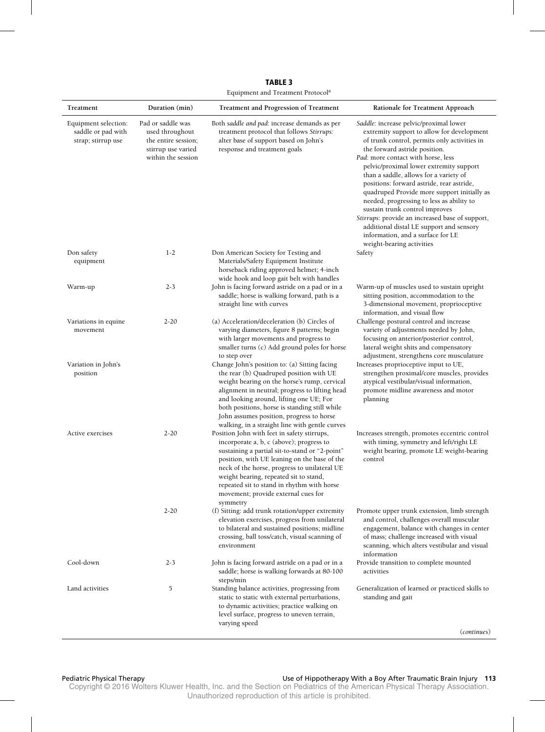**TABLE 3** Equipment and Treatment Protocola

| Treatment                                                           | Duration (min)                                                                                          | Treatment and Progression of Treatment                                                                                                                                                                                                                                                                                                                                                                                                                                                                                                                                                       | Rationale for Treatment Approach                                                                                                                                                                                                                                                                                                                                                                                                                                                                                                                                                                                                             |
|---------------------------------------------------------------------|---------------------------------------------------------------------------------------------------------|----------------------------------------------------------------------------------------------------------------------------------------------------------------------------------------------------------------------------------------------------------------------------------------------------------------------------------------------------------------------------------------------------------------------------------------------------------------------------------------------------------------------------------------------------------------------------------------------|----------------------------------------------------------------------------------------------------------------------------------------------------------------------------------------------------------------------------------------------------------------------------------------------------------------------------------------------------------------------------------------------------------------------------------------------------------------------------------------------------------------------------------------------------------------------------------------------------------------------------------------------|
| Equipment selection:<br>saddle or pad with<br>strap; stirrup use    | Pad or saddle was<br>used throughout<br>the entire session;<br>stirrup use varied<br>within the session | Both saddle and pad: increase demands as per<br>treatment protocol that follows Stirrups:<br>alter base of support based on John's<br>response and treatment goals                                                                                                                                                                                                                                                                                                                                                                                                                           | Saddle: increase pelvic/proximal lower<br>extremity support to allow for development<br>of trunk control, permits only activities in<br>the forward astride position.<br>Pad: more contact with horse, less<br>pelvic/proximal lower extremity support<br>than a saddle, allows for a variety of<br>positions: forward astride, rear astride,<br>quadruped Provide more support initially as<br>needed, progressing to less as ability to<br>sustain trunk control improves<br>Stirrups: provide an increased base of support,<br>additional distal LE support and sensory<br>information, and a surface for LE<br>weight-bearing activities |
| Don safety<br>equipment                                             | $1-2$                                                                                                   | Don American Society for Testing and<br>Materials/Safety Equipment Institute<br>horseback riding approved helmet; 4-inch<br>wide hook and loop gait belt with handles                                                                                                                                                                                                                                                                                                                                                                                                                        | Safety                                                                                                                                                                                                                                                                                                                                                                                                                                                                                                                                                                                                                                       |
| Warm-up                                                             | $2 - 3$                                                                                                 | John is facing forward astride on a pad or in a<br>saddle; horse is walking forward, path is a<br>straight line with curves                                                                                                                                                                                                                                                                                                                                                                                                                                                                  | Warm-up of muscles used to sustain upright<br>sitting position, accommodation to the<br>3-dimensional movement, proprioceptive<br>information, and visual flow                                                                                                                                                                                                                                                                                                                                                                                                                                                                               |
| Variations in equine<br>movement<br>Variation in John's<br>position | $2 - 20$                                                                                                | (a) Acceleration/deceleration (b) Circles of<br>varying diameters, figure 8 patterns; begin<br>with larger movements and progress to<br>smaller turns (c) Add ground poles for horse<br>to step over<br>Change John's position to: (a) Sitting facing<br>the rear (b) Quadruped position with UE<br>weight bearing on the horse's rump, cervical<br>alignment in neutral; progress to lifting head<br>and looking around, lifting one UE; For<br>both positions, horse is standing still while<br>John assumes position, progress to horse<br>walking, in a straight line with gentle curves | Challenge postural control and increase<br>variety of adjustments needed by John,<br>focusing on anterior/posterior control,<br>lateral weight shits and compensatory<br>adjustment, strengthens core musculature<br>Increases proprioceptive input to UE,<br>strengthen proximal/core muscles, provides<br>atypical vestibular/visual information,<br>promote midline awareness and motor<br>planning                                                                                                                                                                                                                                       |
| Active exercises                                                    | $2 - 20$                                                                                                | Position John with feet in safety stirrups,<br>incorporate a, b, c (above); progress to<br>sustaining a partial sit-to-stand or "2-point"<br>position, with UE leaning on the base of the<br>neck of the horse, progress to unilateral UE<br>weight bearing, repeated sit to stand,<br>repeated sit to stand in rhythm with horse<br>movement; provide external cues for<br>symmetry                                                                                                                                                                                                         | Increases strength, promotes eccentric control<br>with timing, symmetry and left/right LE<br>weight bearing, promote LE weight-bearing<br>control                                                                                                                                                                                                                                                                                                                                                                                                                                                                                            |
|                                                                     | $2 - 20$                                                                                                | (f) Sitting: add trunk rotation/upper extremity<br>elevation exercises, progress from unilateral<br>to bilateral and sustained positions; midline<br>crossing, ball toss/catch, visual scanning of<br>environment                                                                                                                                                                                                                                                                                                                                                                            | Promote upper trunk extension, limb strength<br>and control, challenges overall muscular<br>engagement, balance with changes in center<br>of mass; challenge increased with visual<br>scanning, which alters vestibular and visual<br>information                                                                                                                                                                                                                                                                                                                                                                                            |
| Cool-down                                                           | $2 - 3$                                                                                                 | John is facing forward astride on a pad or in a<br>saddle; horse is walking forwards at 80-100<br>steps/min                                                                                                                                                                                                                                                                                                                                                                                                                                                                                  | Provide transition to complete mounted<br>activities                                                                                                                                                                                                                                                                                                                                                                                                                                                                                                                                                                                         |
| Land activities                                                     | 5                                                                                                       | Standing balance activities, progressing from<br>static to static with external perturbations,<br>to dynamic activities; practice walking on<br>level surface, progress to uneven terrain,<br>varying speed                                                                                                                                                                                                                                                                                                                                                                                  | Generalization of learned or practiced skills to<br>standing and gait                                                                                                                                                                                                                                                                                                                                                                                                                                                                                                                                                                        |
|                                                                     |                                                                                                         |                                                                                                                                                                                                                                                                                                                                                                                                                                                                                                                                                                                              | (continues)                                                                                                                                                                                                                                                                                                                                                                                                                                                                                                                                                                                                                                  |

Pediatric Physical Therapy Use of Hippotherapy With a Boy After Traumatic Brain Injury **113**

Copyright © 2016 Wolters Kluwer Health, Inc. and the Section on Pediatrics of the American Physical Therapy Association. Unauthorized reproduction of this article is prohibited.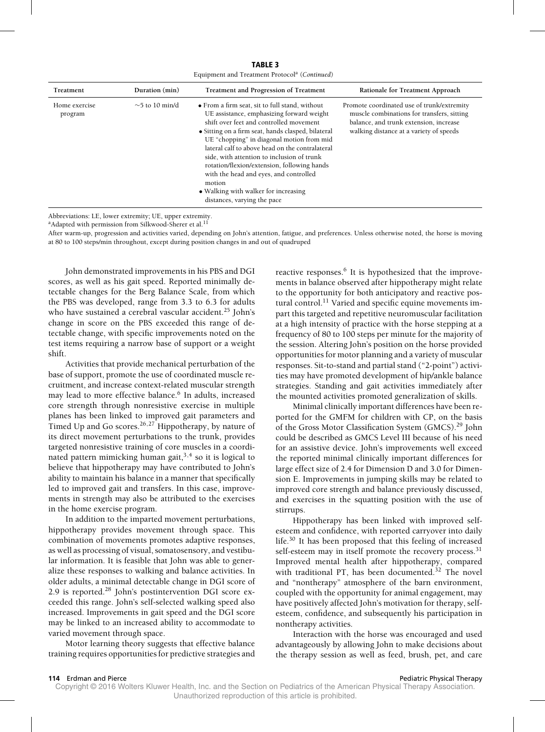**TABLE 3** Equipment and Treatment Protocola (*Continued*)

| Treatment                | Duration (min)       | Treatment and Progression of Treatment                                                                                                                                                                                                                                                                                                                                                                                                                                                                               | Rationale for Treatment Approach                                                                                                                                              |
|--------------------------|----------------------|----------------------------------------------------------------------------------------------------------------------------------------------------------------------------------------------------------------------------------------------------------------------------------------------------------------------------------------------------------------------------------------------------------------------------------------------------------------------------------------------------------------------|-------------------------------------------------------------------------------------------------------------------------------------------------------------------------------|
| Home exercise<br>program | $\sim$ 5 to 10 min/d | • From a firm seat, sit to full stand, without<br>UE assistance, emphasizing forward weight<br>shift over feet and controlled movement<br>• Sitting on a firm seat, hands clasped, bilateral<br>UE "chopping" in diagonal motion from mid<br>lateral calf to above head on the contralateral<br>side, with attention to inclusion of trunk<br>rotation/flexion/extension, following hands<br>with the head and eyes, and controlled<br>motion<br>• Walking with walker for increasing<br>distances, varying the pace | Promote coordinated use of trunk/extremity<br>muscle combinations for transfers, sitting<br>balance, and trunk extension, increase<br>walking distance at a variety of speeds |

Abbreviations: LE, lower extremity; UE, upper extremity.

<sup>a</sup>Adapted with permission from Silkwood-Sherer et al.<sup>11</sup>

After warm-up, progression and activities varied, depending on John's attention, fatigue, and preferences. Unless otherwise noted, the horse is moving at 80 to 100 steps/min throughout, except during position changes in and out of quadruped

John demonstrated improvements in his PBS and DGI scores, as well as his gait speed. Reported minimally detectable changes for the Berg Balance Scale, from which the PBS was developed, range from 3.3 to 6.3 for adults who have sustained a cerebral vascular accident.<sup>25</sup> John's change in score on the PBS exceeded this range of detectable change, with specific improvements noted on the test items requiring a narrow base of support or a weight shift.

Activities that provide mechanical perturbation of the base of support, promote the use of coordinated muscle recruitment, and increase context-related muscular strength may lead to more effective balance.<sup>6</sup> In adults, increased core strength through nonresistive exercise in multiple planes has been linked to improved gait parameters and Timed Up and Go scores.<sup>26,27</sup> Hippotherapy, by nature of its direct movement perturbations to the trunk, provides targeted nonresistive training of core muscles in a coordinated pattern mimicking human gait,<sup>3,4</sup> so it is logical to believe that hippotherapy may have contributed to John's ability to maintain his balance in a manner that specifically led to improved gait and transfers. In this case, improvements in strength may also be attributed to the exercises in the home exercise program.

In addition to the imparted movement perturbations, hippotherapy provides movement through space. This combination of movements promotes adaptive responses, as well as processing of visual, somatosensory, and vestibular information. It is feasible that John was able to generalize these responses to walking and balance activities. In older adults, a minimal detectable change in DGI score of 2.9 is reported.<sup>28</sup> John's postintervention DGI score exceeded this range. John's self-selected walking speed also increased. Improvements in gait speed and the DGI score may be linked to an increased ability to accommodate to varied movement through space.

Motor learning theory suggests that effective balance training requires opportunities for predictive strategies and reactive responses.<sup>6</sup> It is hypothesized that the improvements in balance observed after hippotherapy might relate to the opportunity for both anticipatory and reactive postural control.<sup>11</sup> Varied and specific equine movements impart this targeted and repetitive neuromuscular facilitation at a high intensity of practice with the horse stepping at a frequency of 80 to 100 steps per minute for the majority of the session. Altering John's position on the horse provided opportunities for motor planning and a variety of muscular responses. Sit-to-stand and partial stand ("2-point") activities may have promoted development of hip/ankle balance strategies. Standing and gait activities immediately after the mounted activities promoted generalization of skills.

Minimal clinically important differences have been reported for the GMFM for children with CP, on the basis of the Gross Motor Classification System (GMCS).<sup>29</sup> John could be described as GMCS Level III because of his need for an assistive device. John's improvements well exceed the reported minimal clinically important differences for large effect size of 2.4 for Dimension D and 3.0 for Dimension E. Improvements in jumping skills may be related to improved core strength and balance previously discussed, and exercises in the squatting position with the use of stirrups.

Hippotherapy has been linked with improved selfesteem and confidence, with reported carryover into daily life.<sup>30</sup> It has been proposed that this feeling of increased self-esteem may in itself promote the recovery process.<sup>31</sup> Improved mental health after hippotherapy, compared with traditional PT, has been documented.<sup>32</sup> The novel and "nontherapy" atmosphere of the barn environment, coupled with the opportunity for animal engagement, may have positively affected John's motivation for therapy, selfesteem, confidence, and subsequently his participation in nontherapy activities.

Interaction with the horse was encouraged and used advantageously by allowing John to make decisions about the therapy session as well as feed, brush, pet, and care

Copyright © 2016 Wolters Kluwer Health, Inc. and the Section on Pediatrics of the American Physical Therapy Association. Unauthorized reproduction of this article is prohibited.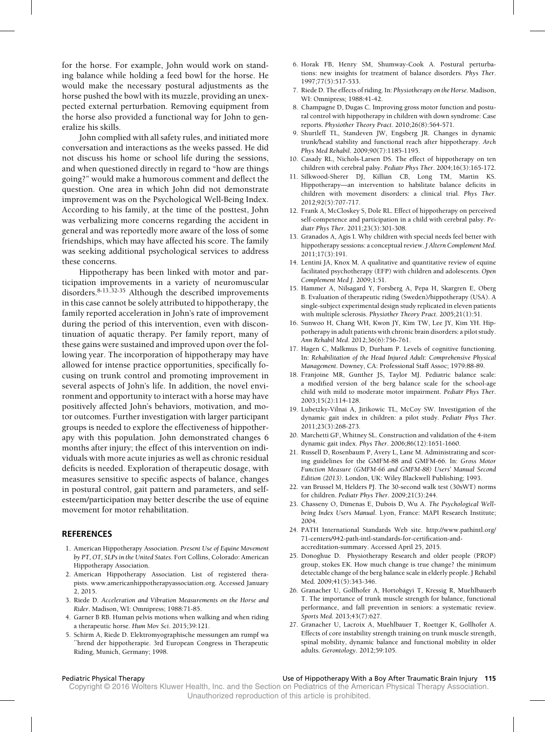for the horse. For example, John would work on standing balance while holding a feed bowl for the horse. He would make the necessary postural adjustments as the horse pushed the bowl with its muzzle, providing an unexpected external perturbation. Removing equipment from the horse also provided a functional way for John to generalize his skills.

John complied with all safety rules, and initiated more conversation and interactions as the weeks passed. He did not discuss his home or school life during the sessions, and when questioned directly in regard to "how are things going?" would make a humorous comment and deflect the question. One area in which John did not demonstrate improvement was on the Psychological Well-Being Index. According to his family, at the time of the posttest, John was verbalizing more concerns regarding the accident in general and was reportedly more aware of the loss of some friendships, which may have affected his score. The family was seeking additional psychological services to address these concerns.

Hippotherapy has been linked with motor and participation improvements in a variety of neuromuscular disorders. $8-13,32-35$  Although the described improvements in this case cannot be solely attributed to hippotherapy, the family reported acceleration in John's rate of improvement during the period of this intervention, even with discontinuation of aquatic therapy. Per family report, many of these gains were sustained and improved upon over the following year. The incorporation of hippotherapy may have allowed for intense practice opportunities, specifically focusing on trunk control and promoting improvement in several aspects of John's life. In addition, the novel environment and opportunity to interact with a horse may have positively affected John's behaviors, motivation, and motor outcomes. Further investigation with larger participant groups is needed to explore the effectiveness of hippotherapy with this population. John demonstrated changes 6 months after injury; the effect of this intervention on individuals with more acute injuries as well as chronic residual deficits is needed. Exploration of therapeutic dosage, with measures sensitive to specific aspects of balance, changes in postural control, gait pattern and parameters, and selfesteem/participation may better describe the use of equine movement for motor rehabilitation.

### **REFERENCES**

- 1. American Hippotherapy Association. *Present Use of Equine Movement by PT, OT, SLPs in the United States*. Fort Collins, Colorado: American Hippotherapy Association.
- 2. American Hippotherapy Association. List of registered therapists. [www.americanhippotherapyassociation.org.](http://www.americanhippotherapyassociation.org) Accessed January 2, 2015.
- 3. Riede D. *Acceleration and Vibration Measurements on the Horse and Rider*. Madison, WI: Omnipress; 1988:71-85.
- 4. Garner B RB. Human pelvis motions when walking and when riding a therapeutic horse. *Hum Mov Sci*. 2015;39:121.
- 5. Schirm A, Riede D. Elektromyographische messungen am rumpf wa -hrend der hippotherapie. 3rd European Congress in Therapeutic Riding, Munich, Germany; 1998.
- 6. Horak FB, Henry SM, Shumway-Cook A. Postural perturbations: new insights for treatment of balance disorders. *Phys Ther*. 1997;77(5):517-533.
- 7. Riede D. The effects of riding. In: *Physiotherapy on the Horse*. Madison, WI: Omnipress; 1988:41-42.
- 8. Champagne D, Dugas C. Improving gross motor function and postural control with hippotherapy in children with down syndrome: Case reports. *Physiother Theory Pract*. 2010;26(8):564-571.
- 9. Shurtleff TL, Standeven JW, Engsberg JR. Changes in dynamic trunk/head stability and functional reach after hippotherapy. *Arch Phys Med Rehabil*. 2009;90(7):1185-1195.
- 10. Casady RL, Nichols-Larsen DS. The effect of hippotherapy on ten children with cerebral palsy. *Pediatr Phys Ther*. 2004;16(3):165-172.
- 11. Silkwood-Sherer DJ, Killian CB, Long TM, Martin KS. Hippotherapy—an intervention to habilitate balance deficits in children with movement disorders: a clinical trial. *Phys Ther*. 2012;92(5):707-717.
- 12. Frank A, McCloskey S, Dole RL. Effect of hippotherapy on perceived self-competence and participation in a child with cerebral palsy. *Pediatr Phys Ther*. 2011;23(3):301-308.
- 13. Granados A, Agis I. Why children with special needs feel better with hippotherapy sessions: a conceptual review. *J Altern Complement Med*. 2011;17(3):191.
- 14. Lentini JA, Knox M. A qualitative and quantitative review of equine facilitated psychotherapy (EFP) with children and adolescents. *Open Complement Med J*. 2009;1:51.
- 15. Hammer A, Nilsagard Y, Forsberg A, Pepa H, Skargren E, Oberg B. Evaluation of therapeutic riding (Sweden)/hippotherapy (USA). A single-subject experimental design study replicated in eleven patients with multiple sclerosis. *Physiother Theory Pract*. 2005;21(1):51.
- 16. Sunwoo H, Chang WH, Kwon JY, Kim TW, Lee JY, Kim YH. Hippotherapy in adult patients with chronic brain disorders: a pilot study. *Ann Rehabil Med*. 2012;36(6):756-761.
- 17. Hagen C, Malkmus D, Durham P. Levels of cognitive functioning. In: *Rehabilitation of the Head Injured Adult: Comprehensive Physical Management*. Downey, CA: Professional Staff Assoc; 1979:88-89.
- 18. Franjoine MR, Gunther JS, Taylor MJ. Pediatric balance scale: a modified version of the berg balance scale for the school-age child with mild to moderate motor impairment. *Pediatr Phys Ther*. 2003;15(2):114-128.
- 19. Lubetzky-Vilnai A, Jirikowic TL, McCoy SW. Investigation of the dynamic gait index in children: a pilot study. *Pediatr Phys Ther*. 2011;23(3):268-273.
- 20. Marchetti GF, Whitney SL. Construction and validation of the 4-item dynamic gait index. *Phys Ther*. 2006;86(12):1651-1660.
- 21. Russell D, Rosenbaum P, Avery L, Lane M. Administrating and scoring guidelines for the GMFM-88 and GMFM-66. In: *Gross Motor Function Measure (GMFM-66 and GMFM-88) Users' Manual Second Edition (2013)*. London, UK: Wiley Blackwell Publishing; 1993.
- 22. van Brussel M, Helders PJ. The 30-second walk test (30sWT) norms for children. *Pediatr Phys Ther*. 2009;21(3):244.
- 23. Chasseny O, Dimenas E, Dubois D, Wu A. *The Psychological Wellbeing Index Users Manual*. Lyon, France: MAPI Research Institute; 2004.
- 24. PATH International Standards Web site. [http://www.pathintl.org/](http://www.pathintl.org/71-centers/942-path-intl-standards-for-certification-and-accreditation-summary) [71-centers/942-path-intl-standards-for-certification-and](http://www.pathintl.org/71-centers/942-path-intl-standards-for-certification-and-accreditation-summary)[accreditation-summary.](http://www.pathintl.org/71-centers/942-path-intl-standards-for-certification-and-accreditation-summary) Accessed April 25, 2015.
- 25. Donoghue D. Physiotherapy Research and older people (PROP) group, stokes EK. How much change is true change? the minimum detectable change of the berg balance scale in elderly people. J Rehabil Med*.* 2009;41(5):343-346.
- 26. Granacher U, Gollhofer A, Hortobágyi T, Kressig R, Muehlbauerb T. The importance of trunk muscle strength for balance, functional performance, and fall prevention in seniors: a systematic review. *Sports Med*. 2013;43(7):627.
- 27. Granacher U, Lacroix A, Muehlbauer T, Roettger K, Gollhofer A. Effects of core instability strength training on trunk muscle strength, spinal mobility, dynamic balance and functional mobility in older adults. *Gerontology*. 2012;59:105.

### Pediatric Physical Therapy Use of Hippotherapy With a Boy After Traumatic Brain Injury **115**

Copyright © 2016 Wolters Kluwer Health, Inc. and the Section on Pediatrics of the American Physical Therapy Association.

Unauthorized reproduction of this article is prohibited.